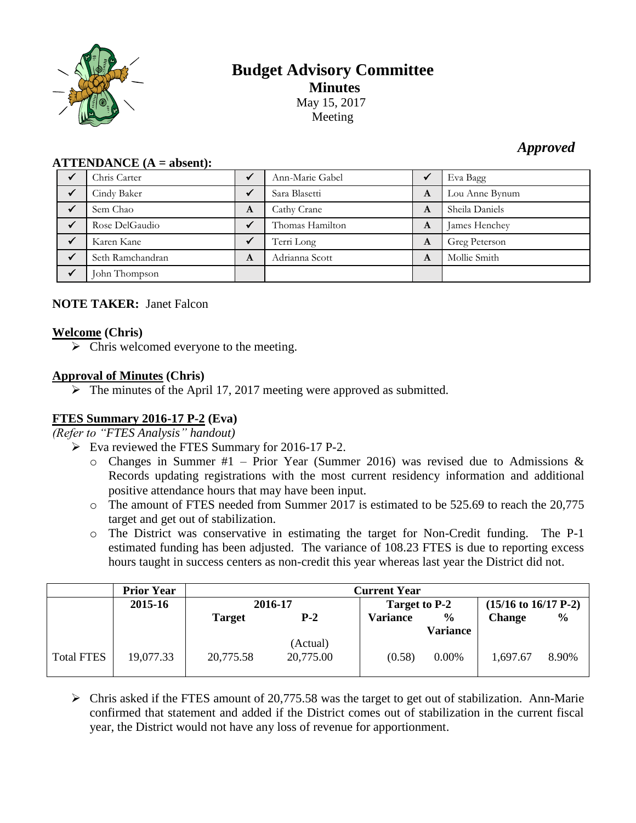

# **Budget Advisory Committee Minutes** May 15, 2017 Meeting

# *Approved*

| $ALLEIVDANCE (A - anseIII).$ |   |                 |   |                |  |  |
|------------------------------|---|-----------------|---|----------------|--|--|
| Chris Carter                 |   | Ann-Marie Gabel |   | Eva Bagg       |  |  |
| Cindy Baker                  |   | Sara Blasetti   | A | Lou Anne Bynum |  |  |
| Sem Chao                     | A | Cathy Crane     | A | Sheila Daniels |  |  |
| Rose DelGaudio               |   | Thomas Hamilton | A | James Henchey  |  |  |
| Karen Kane                   |   | Terri Long      | A | Greg Peterson  |  |  |
| Seth Ramchandran             | A | Adrianna Scott  | A | Mollie Smith   |  |  |
| John Thompson                |   |                 |   |                |  |  |

# **ATTENDANCE (A = absent):**

## **NOTE TAKER:** Janet Falcon

#### **Welcome (Chris)**

 $\triangleright$  Chris welcomed everyone to the meeting.

## **Approval of Minutes (Chris)**

 $\triangleright$  The minutes of the April 17, 2017 meeting were approved as submitted.

# **FTES Summary 2016-17 P-2 (Eva)**

*(Refer to "FTES Analysis" handout)*

- Eva reviewed the FTES Summary for 2016-17 P-2.
	- $\circ$  Changes in Summer #1 Prior Year (Summer 2016) was revised due to Admissions & Records updating registrations with the most current residency information and additional positive attendance hours that may have been input.
	- o The amount of FTES needed from Summer 2017 is estimated to be 525.69 to reach the 20,775 target and get out of stabilization.
	- o The District was conservative in estimating the target for Non-Credit funding. The P-1 estimated funding has been adjusted. The variance of 108.23 FTES is due to reporting excess hours taught in success centers as non-credit this year whereas last year the District did not.

|                   | <b>Prior Year</b> | <b>Current Year</b> |                       |                 |                         |                          |               |
|-------------------|-------------------|---------------------|-----------------------|-----------------|-------------------------|--------------------------|---------------|
|                   | 2015-16           | 2016-17             |                       | Target to P-2   |                         | $(15/16$ to $16/17$ P-2) |               |
|                   |                   | <b>Target</b>       | $P-2$                 | <b>Variance</b> | $\%$<br><b>Variance</b> | <b>Change</b>            | $\frac{6}{9}$ |
| <b>Total FTES</b> | 19,077.33         | 20,775.58           | (Actual)<br>20,775.00 | (0.58)          | 0.00%                   | 1,697.67                 | 8.90%         |

 $\triangleright$  Chris asked if the FTES amount of 20,775.58 was the target to get out of stabilization. Ann-Marie confirmed that statement and added if the District comes out of stabilization in the current fiscal year, the District would not have any loss of revenue for apportionment.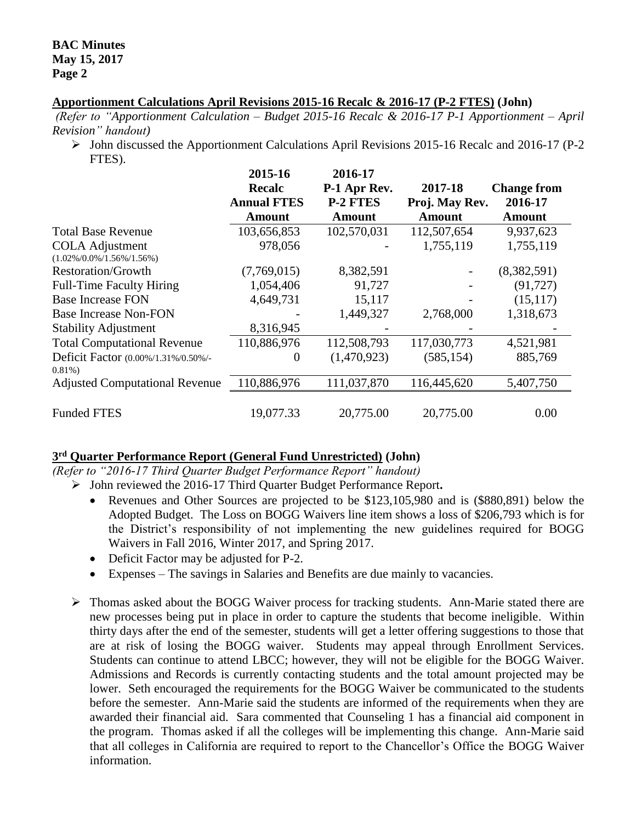### **Apportionment Calculations April Revisions 2015-16 Recalc & 2016-17 (P-2 FTES) (John)**

*(Refer to "Apportionment Calculation – Budget 2015-16 Recalc & 2016-17 P-1 Apportionment – April Revision" handout)*

 $\triangleright$  John discussed the Apportionment Calculations April Revisions 2015-16 Recalc and 2016-17 (P-2) FTES).

|                                       | 2015-16            | 2016-17         |                |                    |
|---------------------------------------|--------------------|-----------------|----------------|--------------------|
|                                       | <b>Recalc</b>      | P-1 Apr Rev.    | 2017-18        | <b>Change from</b> |
|                                       | <b>Annual FTES</b> | <b>P-2 FTES</b> | Proj. May Rev. | 2016-17            |
|                                       | <b>Amount</b>      | <b>Amount</b>   | <b>Amount</b>  | <b>Amount</b>      |
| <b>Total Base Revenue</b>             | 103,656,853        | 102,570,031     | 112,507,654    | 9,937,623          |
| <b>COLA Adjustment</b>                | 978,056            |                 | 1,755,119      | 1,755,119          |
| $(1.02\%/0.0\%/1.56\%/1.56\%)$        |                    |                 |                |                    |
| <b>Restoration/Growth</b>             | (7,769,015)        | 8,382,591       |                | (8,382,591)        |
| <b>Full-Time Faculty Hiring</b>       | 1,054,406          | 91,727          |                | (91, 727)          |
| <b>Base Increase FON</b>              | 4,649,731          | 15,117          |                | (15, 117)          |
| <b>Base Increase Non-FON</b>          |                    | 1,449,327       | 2,768,000      | 1,318,673          |
| <b>Stability Adjustment</b>           | 8,316,945          |                 |                |                    |
| <b>Total Computational Revenue</b>    | 110,886,976        | 112,508,793     | 117,030,773    | 4,521,981          |
| Deficit Factor (0.00%/1.31%/0.50%/-   | 0                  | (1,470,923)     | (585, 154)     | 885,769            |
| $0.81\%$                              |                    |                 |                |                    |
| <b>Adjusted Computational Revenue</b> | 110,886,976        | 111,037,870     | 116,445,620    | 5,407,750          |
| <b>Funded FTES</b>                    | 19,077.33          | 20,775.00       | 20,775.00      | 0.00               |

### **3 rd Quarter Performance Report (General Fund Unrestricted) (John)**

*(Refer to "2016-17 Third Quarter Budget Performance Report" handout)*

- John reviewed the 2016-17 Third Quarter Budget Performance Report**.** 
	- Revenues and Other Sources are projected to be \$123,105,980 and is (\$880,891) below the Adopted Budget. The Loss on BOGG Waivers line item shows a loss of \$206,793 which is for the District's responsibility of not implementing the new guidelines required for BOGG Waivers in Fall 2016, Winter 2017, and Spring 2017.
	- Deficit Factor may be adjusted for P-2.
	- Expenses The savings in Salaries and Benefits are due mainly to vacancies.
- Thomas asked about the BOGG Waiver process for tracking students. Ann-Marie stated there are new processes being put in place in order to capture the students that become ineligible. Within thirty days after the end of the semester, students will get a letter offering suggestions to those that are at risk of losing the BOGG waiver. Students may appeal through Enrollment Services. Students can continue to attend LBCC; however, they will not be eligible for the BOGG Waiver. Admissions and Records is currently contacting students and the total amount projected may be lower. Seth encouraged the requirements for the BOGG Waiver be communicated to the students before the semester. Ann-Marie said the students are informed of the requirements when they are awarded their financial aid. Sara commented that Counseling 1 has a financial aid component in the program. Thomas asked if all the colleges will be implementing this change. Ann-Marie said that all colleges in California are required to report to the Chancellor's Office the BOGG Waiver information.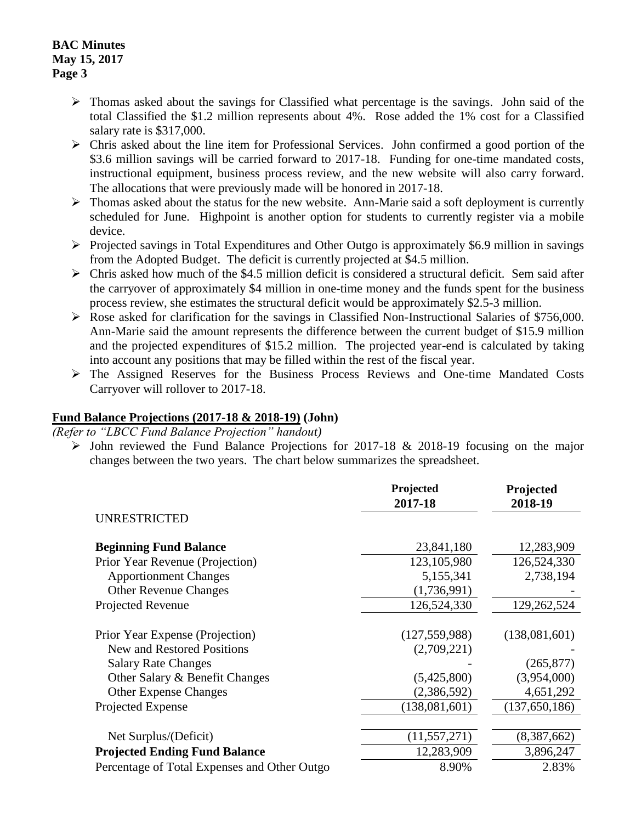#### **BAC Minutes May 15, 2017 Page 3**

- $\triangleright$  Thomas asked about the savings for Classified what percentage is the savings. John said of the total Classified the \$1.2 million represents about 4%. Rose added the 1% cost for a Classified salary rate is \$317,000.
- $\triangleright$  Chris asked about the line item for Professional Services. John confirmed a good portion of the \$3.6 million savings will be carried forward to 2017-18. Funding for one-time mandated costs, instructional equipment, business process review, and the new website will also carry forward. The allocations that were previously made will be honored in 2017-18.
- $\triangleright$  Thomas asked about the status for the new website. Ann-Marie said a soft deployment is currently scheduled for June. Highpoint is another option for students to currently register via a mobile device.
- $\triangleright$  Projected savings in Total Expenditures and Other Outgo is approximately \$6.9 million in savings from the Adopted Budget. The deficit is currently projected at \$4.5 million.
- $\triangleright$  Chris asked how much of the \$4.5 million deficit is considered a structural deficit. Sem said after the carryover of approximately \$4 million in one-time money and the funds spent for the business process review, she estimates the structural deficit would be approximately \$2.5-3 million.
- $\triangleright$  Rose asked for clarification for the savings in Classified Non-Instructional Salaries of \$756,000. Ann-Marie said the amount represents the difference between the current budget of \$15.9 million and the projected expenditures of \$15.2 million. The projected year-end is calculated by taking into account any positions that may be filled within the rest of the fiscal year.
- The Assigned Reserves for the Business Process Reviews and One-time Mandated Costs Carryover will rollover to 2017-18.

### **Fund Balance Projections (2017-18 & 2018-19) (John)**

*(Refer to "LBCC Fund Balance Projection" handout)*

 $\triangleright$  John reviewed the Fund Balance Projections for 2017-18 & 2018-19 focusing on the major changes between the two years. The chart below summarizes the spreadsheet.

|                                              | Projected<br>2017-18 | Projected<br>2018-19 |
|----------------------------------------------|----------------------|----------------------|
| <b>UNRESTRICTED</b>                          |                      |                      |
| <b>Beginning Fund Balance</b>                | 23,841,180           | 12,283,909           |
| Prior Year Revenue (Projection)              | 123, 105, 980        | 126,524,330          |
| <b>Apportionment Changes</b>                 | 5,155,341            | 2,738,194            |
| <b>Other Revenue Changes</b>                 | (1,736,991)          |                      |
| Projected Revenue                            | 126,524,330          | 129,262,524          |
|                                              |                      |                      |
| Prior Year Expense (Projection)              | (127, 559, 988)      | (138,081,601)        |
| <b>New and Restored Positions</b>            | (2,709,221)          |                      |
| <b>Salary Rate Changes</b>                   |                      | (265, 877)           |
| Other Salary & Benefit Changes               | (5,425,800)          | (3,954,000)          |
| <b>Other Expense Changes</b>                 | (2,386,592)          | 4,651,292            |
| Projected Expense                            | (138,081,601)        | (137, 650, 186)      |
|                                              |                      |                      |
| Net Surplus/(Deficit)                        | (11, 557, 271)       | (8,387,662)          |
| <b>Projected Ending Fund Balance</b>         | 12,283,909           | 3,896,247            |
| Percentage of Total Expenses and Other Outgo | 8.90%                | 2.83%                |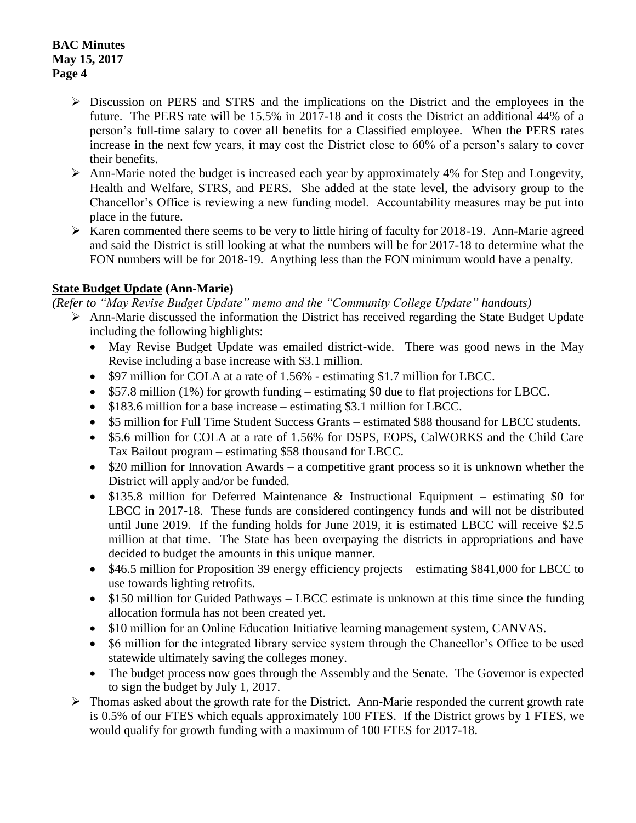- Discussion on PERS and STRS and the implications on the District and the employees in the future. The PERS rate will be 15.5% in 2017-18 and it costs the District an additional 44% of a person's full-time salary to cover all benefits for a Classified employee. When the PERS rates increase in the next few years, it may cost the District close to 60% of a person's salary to cover their benefits.
- $\triangleright$  Ann-Marie noted the budget is increased each year by approximately 4% for Step and Longevity, Health and Welfare, STRS, and PERS. She added at the state level, the advisory group to the Chancellor's Office is reviewing a new funding model. Accountability measures may be put into place in the future.
- $\triangleright$  Karen commented there seems to be very to little hiring of faculty for 2018-19. Ann-Marie agreed and said the District is still looking at what the numbers will be for 2017-18 to determine what the FON numbers will be for 2018-19. Anything less than the FON minimum would have a penalty.

## **State Budget Update (Ann-Marie)**

*(Refer to "May Revise Budget Update" memo and the "Community College Update" handouts)*

- $\triangleright$  Ann-Marie discussed the information the District has received regarding the State Budget Update including the following highlights:
	- May Revise Budget Update was emailed district-wide. There was good news in the May Revise including a base increase with \$3.1 million.
	- \$97 million for COLA at a rate of 1.56% estimating \$1.7 million for LBCC.
	- \$57.8 million (1%) for growth funding estimating \$0 due to flat projections for LBCC.
	- \$183.6 million for a base increase estimating \$3.1 million for LBCC.
	- \$5 million for Full Time Student Success Grants estimated \$88 thousand for LBCC students.
	- \$5.6 million for COLA at a rate of 1.56% for DSPS, EOPS, CalWORKS and the Child Care Tax Bailout program – estimating \$58 thousand for LBCC.
	- $\bullet$  \$20 million for Innovation Awards a competitive grant process so it is unknown whether the District will apply and/or be funded.
	- \$135.8 million for Deferred Maintenance & Instructional Equipment estimating \$0 for LBCC in 2017-18. These funds are considered contingency funds and will not be distributed until June 2019. If the funding holds for June 2019, it is estimated LBCC will receive \$2.5 million at that time. The State has been overpaying the districts in appropriations and have decided to budget the amounts in this unique manner.
	- \$46.5 million for Proposition 39 energy efficiency projects estimating \$841,000 for LBCC to use towards lighting retrofits.
	- \$150 million for Guided Pathways LBCC estimate is unknown at this time since the funding allocation formula has not been created yet.
	- \$10 million for an Online Education Initiative learning management system, CANVAS.
	- S6 million for the integrated library service system through the Chancellor's Office to be used statewide ultimately saving the colleges money.
	- The budget process now goes through the Assembly and the Senate. The Governor is expected to sign the budget by July 1, 2017.
- $\triangleright$  Thomas asked about the growth rate for the District. Ann-Marie responded the current growth rate is 0.5% of our FTES which equals approximately 100 FTES. If the District grows by 1 FTES, we would qualify for growth funding with a maximum of 100 FTES for 2017-18.